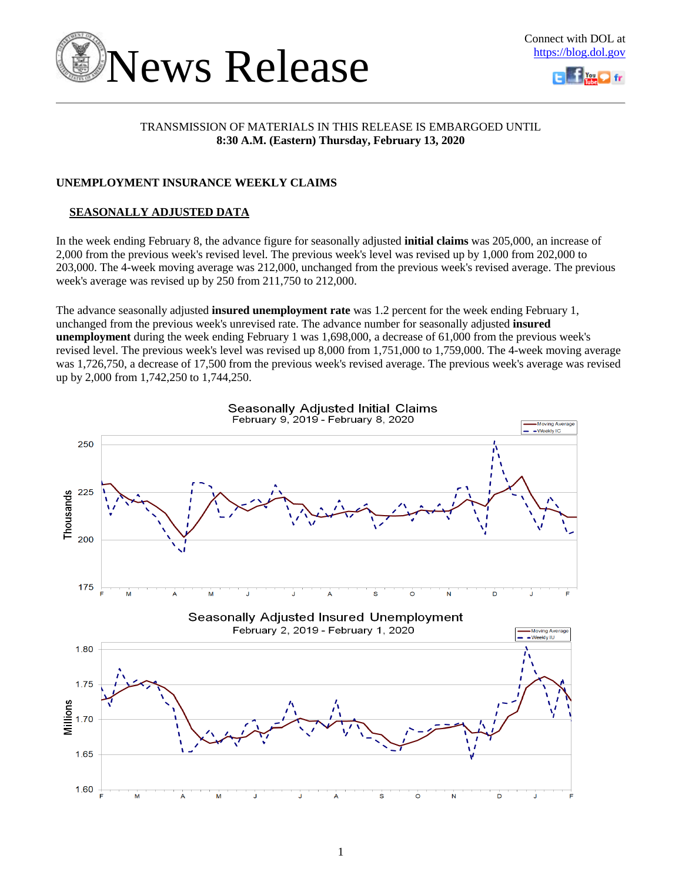



# TRANSMISSION OF MATERIALS IN THIS RELEASE IS EMBARGOED UNTIL **8:30 A.M. (Eastern) Thursday, February 13, 2020**

# **UNEMPLOYMENT INSURANCE WEEKLY CLAIMS**

# **SEASONALLY ADJUSTED DATA**

In the week ending February 8, the advance figure for seasonally adjusted **initial claims** was 205,000, an increase of 2,000 from the previous week's revised level. The previous week's level was revised up by 1,000 from 202,000 to 203,000. The 4-week moving average was 212,000, unchanged from the previous week's revised average. The previous week's average was revised up by 250 from 211,750 to 212,000.

The advance seasonally adjusted **insured unemployment rate** was 1.2 percent for the week ending February 1, unchanged from the previous week's unrevised rate. The advance number for seasonally adjusted **insured unemployment** during the week ending February 1 was 1,698,000, a decrease of 61,000 from the previous week's revised level. The previous week's level was revised up 8,000 from 1,751,000 to 1,759,000. The 4-week moving average was 1,726,750, a decrease of 17,500 from the previous week's revised average. The previous week's average was revised up by 2,000 from 1,742,250 to 1,744,250.

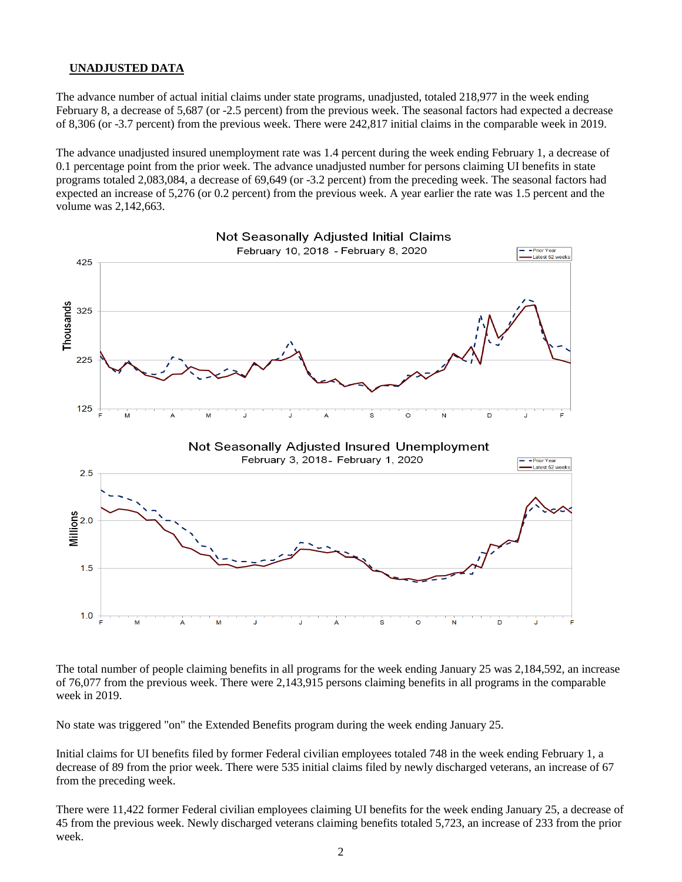# **UNADJUSTED DATA**

The advance number of actual initial claims under state programs, unadjusted, totaled 218,977 in the week ending February 8, a decrease of 5,687 (or -2.5 percent) from the previous week. The seasonal factors had expected a decrease of 8,306 (or -3.7 percent) from the previous week. There were 242,817 initial claims in the comparable week in 2019.

The advance unadjusted insured unemployment rate was 1.4 percent during the week ending February 1, a decrease of 0.1 percentage point from the prior week. The advance unadjusted number for persons claiming UI benefits in state programs totaled 2,083,084, a decrease of 69,649 (or -3.2 percent) from the preceding week. The seasonal factors had expected an increase of 5,276 (or 0.2 percent) from the previous week. A year earlier the rate was 1.5 percent and the volume was 2,142,663.



The total number of people claiming benefits in all programs for the week ending January 25 was 2,184,592, an increase of 76,077 from the previous week. There were 2,143,915 persons claiming benefits in all programs in the comparable week in 2019.

No state was triggered "on" the Extended Benefits program during the week ending January 25.

Initial claims for UI benefits filed by former Federal civilian employees totaled 748 in the week ending February 1, a decrease of 89 from the prior week. There were 535 initial claims filed by newly discharged veterans, an increase of 67 from the preceding week.

There were 11,422 former Federal civilian employees claiming UI benefits for the week ending January 25, a decrease of 45 from the previous week. Newly discharged veterans claiming benefits totaled 5,723, an increase of 233 from the prior week.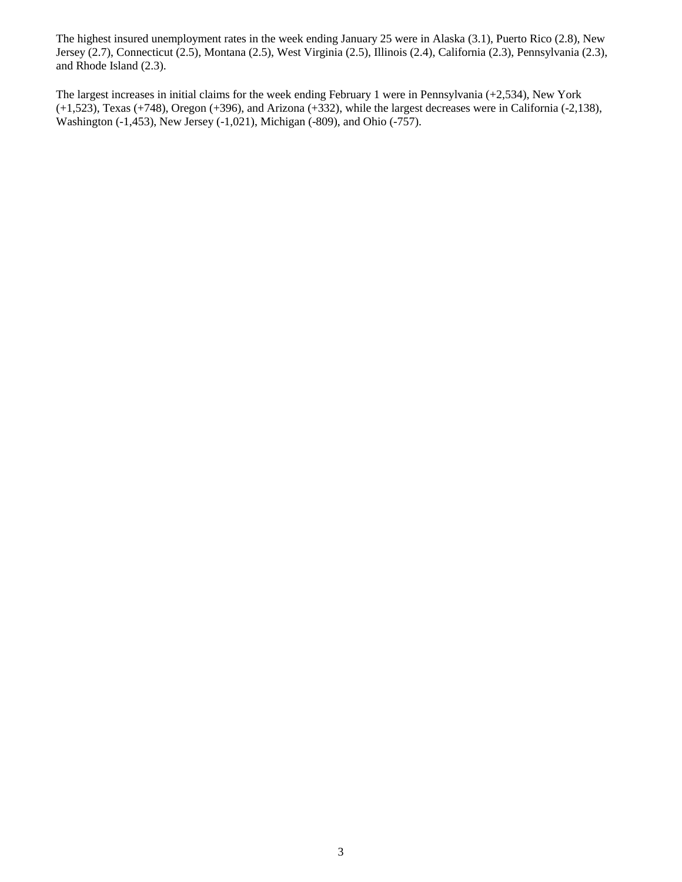The highest insured unemployment rates in the week ending January 25 were in Alaska (3.1), Puerto Rico (2.8), New Jersey (2.7), Connecticut (2.5), Montana (2.5), West Virginia (2.5), Illinois (2.4), California (2.3), Pennsylvania (2.3), and Rhode Island (2.3).

The largest increases in initial claims for the week ending February 1 were in Pennsylvania (+2,534), New York (+1,523), Texas (+748), Oregon (+396), and Arizona (+332), while the largest decreases were in California (-2,138), Washington (-1,453), New Jersey (-1,021), Michigan (-809), and Ohio (-757).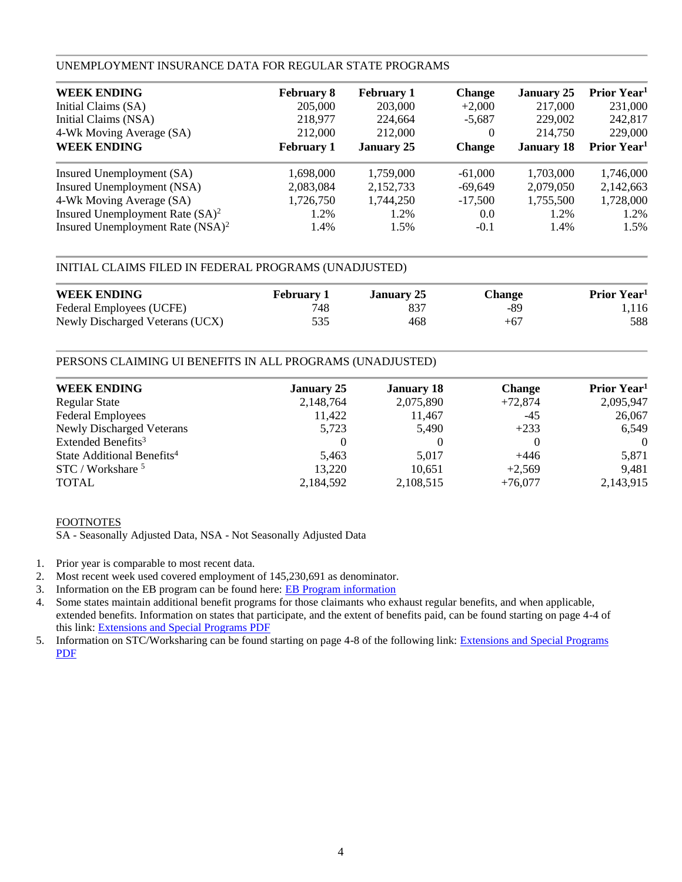## UNEMPLOYMENT INSURANCE DATA FOR REGULAR STATE PROGRAMS

| <b>WEEK ENDING</b>                           | <b>February 8</b> | <b>February 1</b> | <b>Change</b> | <b>January 25</b> | Prior Year <sup>1</sup> |
|----------------------------------------------|-------------------|-------------------|---------------|-------------------|-------------------------|
| Initial Claims (SA)                          | 205,000           | 203,000           | $+2,000$      | 217,000           | 231,000                 |
| Initial Claims (NSA)                         | 218,977           | 224,664           | $-5,687$      | 229,002           | 242,817                 |
| 4-Wk Moving Average (SA)                     | 212,000           | 212,000           | $\Omega$      | 214,750           | 229,000                 |
| <b>WEEK ENDING</b>                           | <b>February 1</b> | <b>January 25</b> | <b>Change</b> | <b>January 18</b> | Prior Year <sup>1</sup> |
| Insured Unemployment (SA)                    | 1,698,000         | 1,759,000         | $-61,000$     | 1,703,000         | 1,746,000               |
| Insured Unemployment (NSA)                   | 2,083,084         | 2,152,733         | $-69,649$     | 2,079,050         | 2,142,663               |
| 4-Wk Moving Average (SA)                     | 1,726,750         | 1,744,250         | $-17.500$     | 1,755,500         | 1,728,000               |
| Insured Unemployment Rate $(SA)^2$           | 1.2%              | 1.2%              | 0.0           | 1.2%              | 1.2%                    |
| Insured Unemployment Rate (NSA) <sup>2</sup> | 1.4%              | 1.5%              | $-0.1$        | 1.4%              | 1.5%                    |

# INITIAL CLAIMS FILED IN FEDERAL PROGRAMS (UNADJUSTED)

| <b>WEEK ENDING</b>              | <b>February 1</b> | January 25 | <b>Change</b> | Prior Year <sup>1</sup> |
|---------------------------------|-------------------|------------|---------------|-------------------------|
| Federal Employees (UCFE)        | 748               |            | -89           | 1.116                   |
| Newly Discharged Veterans (UCX) | 535               | 468        | +67           | 588                     |

# PERSONS CLAIMING UI BENEFITS IN ALL PROGRAMS (UNADJUSTED)

| <b>WEEK ENDING</b>                     | <b>January 25</b> | <b>January 18</b> | <b>Change</b> | Prior Year <sup>1</sup> |
|----------------------------------------|-------------------|-------------------|---------------|-------------------------|
| <b>Regular State</b>                   | 2,148,764         | 2,075,890         | $+72,874$     | 2,095,947               |
| <b>Federal Employees</b>               | 11,422            | 11,467            | -45           | 26,067                  |
| <b>Newly Discharged Veterans</b>       | 5,723             | 5,490             | $+233$        | 6,549                   |
| Extended Benefits <sup>3</sup>         |                   |                   | $\Omega$      | $\theta$                |
| State Additional Benefits <sup>4</sup> | 5,463             | 5.017             | $+446$        | 5,871                   |
| STC / Workshare <sup>5</sup>           | 13,220            | 10.651            | $+2,569$      | 9,481                   |
| TOTAL                                  | 2,184,592         | 2,108,515         | $+76,077$     | 2,143,915               |

### FOOTNOTES

SA - Seasonally Adjusted Data, NSA - Not Seasonally Adjusted Data

- 1. Prior year is comparable to most recent data.
- 2. Most recent week used covered employment of 145,230,691 as denominator.
- 3. Information on the EB program can be found here: [EB Program information](https://oui.doleta.gov/unemploy/extenben.asp)
- 4. Some states maintain additional benefit programs for those claimants who exhaust regular benefits, and when applicable, extended benefits. Information on states that participate, and the extent of benefits paid, can be found starting on page 4-4 of this link: [Extensions and Special Programs PDF](https://oui.doleta.gov/unemploy/pdf/uilawcompar/2019/special.pdf#page=4)
- 5. Information on STC/Worksharing can be found starting on page 4-8 of the following link: [Extensions and Special Programs](https://oui.doleta.gov/unemploy/pdf/uilawcompar/2019/special.pdf#page=8)  [PDF](https://oui.doleta.gov/unemploy/pdf/uilawcompar/2019/special.pdf#page=8)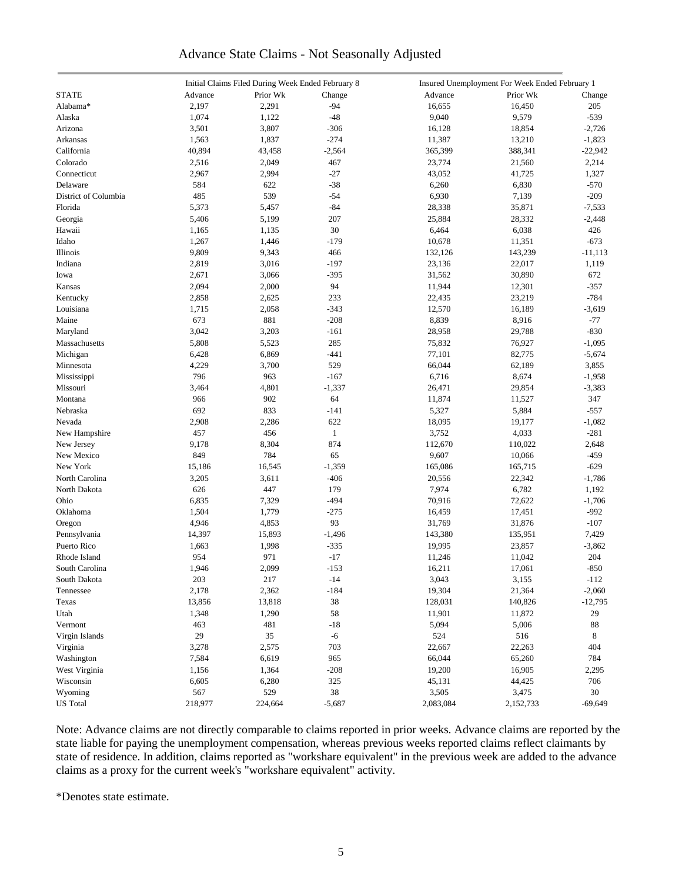# Advance State Claims - Not Seasonally Adjusted

|                      | Initial Claims Filed During Week Ended February 8 |          |              | Insured Unemployment For Week Ended February 1 |           |            |  |  |
|----------------------|---------------------------------------------------|----------|--------------|------------------------------------------------|-----------|------------|--|--|
| <b>STATE</b>         | Advance                                           | Prior Wk | Change       | Advance                                        | Prior Wk  | Change     |  |  |
| Alabama*             | 2,197                                             | 2,291    | $-94$        | 16,655                                         | 16,450    | 205        |  |  |
| Alaska               | 1,074                                             | 1,122    | $-48$        | 9,040                                          | 9,579     | $-539$     |  |  |
| Arizona              | 3,501                                             | 3,807    | $-306$       | 16,128                                         | 18,854    | $-2,726$   |  |  |
| Arkansas             | 1,563                                             | 1,837    | $-274$       | 11,387                                         | 13,210    | $-1,823$   |  |  |
| California           | 40,894                                            | 43,458   | $-2,564$     | 365,399                                        | 388,341   | $-22,942$  |  |  |
| Colorado             | 2,516                                             | 2,049    | 467          | 23,774                                         | 21,560    | 2,214      |  |  |
| Connecticut          | 2,967                                             | 2,994    | $-27$        | 43,052                                         | 41,725    | 1,327      |  |  |
| Delaware             | 584                                               | 622      | $-38$        | 6,260                                          | 6,830     | $-570$     |  |  |
| District of Columbia | 485                                               | 539      | $-54$        | 6,930                                          |           | $-209$     |  |  |
|                      |                                                   |          | $-84$        |                                                | 7,139     |            |  |  |
| Florida              | 5,373                                             | 5,457    |              | 28,338                                         | 35,871    | $-7,533$   |  |  |
| Georgia              | 5,406                                             | 5,199    | 207          | 25,884                                         | 28,332    | $-2,448$   |  |  |
| Hawaii               | 1,165                                             | 1,135    | 30           | 6,464                                          | 6,038     | 426        |  |  |
| Idaho                | 1,267                                             | 1,446    | $-179$       | 10,678                                         | 11,351    | $-673$     |  |  |
| Illinois             | 9,809                                             | 9,343    | 466          | 132,126                                        | 143,239   | $-11, 113$ |  |  |
| Indiana              | 2,819                                             | 3,016    | $-197$       | 23,136                                         | 22,017    | 1,119      |  |  |
| Iowa                 | 2,671                                             | 3,066    | $-395$       | 31,562                                         | 30,890    | 672        |  |  |
| Kansas               | 2,094                                             | 2,000    | 94           | 11,944                                         | 12,301    | $-357$     |  |  |
| Kentucky             | 2,858                                             | 2,625    | 233          | 22,435                                         | 23,219    | $-784$     |  |  |
| Louisiana            | 1,715                                             | 2,058    | $-343$       | 12,570                                         | 16,189    | $-3,619$   |  |  |
| Maine                | 673                                               | 881      | $-208$       | 8,839                                          | 8,916     | $-77$      |  |  |
| Maryland             | 3,042                                             | 3,203    | $-161$       | 28,958                                         | 29,788    | $-830$     |  |  |
| Massachusetts        | 5,808                                             | 5,523    | 285          | 75,832                                         | 76,927    | $-1,095$   |  |  |
| Michigan             | 6,428                                             | 6,869    | -441         | 77,101                                         | 82,775    | $-5,674$   |  |  |
| Minnesota            | 4,229                                             | 3,700    | 529          | 66,044                                         | 62,189    | 3,855      |  |  |
| Mississippi          | 796                                               | 963      | $-167$       | 6,716                                          | 8,674     | $-1,958$   |  |  |
| Missouri             | 3,464                                             | 4,801    | $-1,337$     | 26,471                                         | 29,854    | $-3,383$   |  |  |
| Montana              | 966                                               | 902      | 64           | 11,874                                         | 11,527    | 347        |  |  |
| Nebraska             | 692                                               | 833      | $-141$       | 5,327                                          | 5,884     | $-557$     |  |  |
| Nevada               | 2,908                                             | 2,286    | 622          | 18,095                                         | 19,177    | $-1,082$   |  |  |
| New Hampshire        | 457                                               | 456      | $\mathbf{1}$ | 3,752                                          | 4,033     | $-281$     |  |  |
| New Jersey           | 9,178                                             | 8,304    | 874          | 112,670                                        | 110,022   | 2,648      |  |  |
| New Mexico           | 849                                               | 784      | 65           | 9,607                                          | 10,066    | $-459$     |  |  |
| New York             |                                                   |          |              |                                                |           |            |  |  |
|                      | 15,186                                            | 16,545   | $-1,359$     | 165,086                                        | 165,715   | $-629$     |  |  |
| North Carolina       | 3,205                                             | 3,611    | $-406$       | 20,556                                         | 22,342    | $-1,786$   |  |  |
| North Dakota         | 626                                               | 447      | 179          | 7,974                                          | 6,782     | 1,192      |  |  |
| Ohio                 | 6,835                                             | 7,329    | $-494$       | 70,916                                         | 72,622    | $-1,706$   |  |  |
| Oklahoma             | 1,504                                             | 1,779    | $-275$       | 16,459                                         | 17,451    | $-992$     |  |  |
| Oregon               | 4,946                                             | 4,853    | 93           | 31,769                                         | 31,876    | $-107$     |  |  |
| Pennsylvania         | 14,397                                            | 15,893   | $-1,496$     | 143,380                                        | 135,951   | 7,429      |  |  |
| Puerto Rico          | 1,663                                             | 1,998    | $-335$       | 19,995                                         | 23,857    | $-3,862$   |  |  |
| Rhode Island         | 954                                               | 971      | $-17$        | 11,246                                         | 11,042    | 204        |  |  |
| South Carolina       | 1,946                                             | 2,099    | $-153$       | 16,211                                         | 17,061    | $-850$     |  |  |
| South Dakota         | 203                                               | 217      | $-14$        | 3,043                                          | 3,155     | $-112$     |  |  |
| Tennessee            | 2,178                                             | 2,362    | $-184$       | 19,304                                         | 21,364    | $-2,060$   |  |  |
| Texas                | 13,856                                            | 13,818   | $38\,$       | 128,031                                        | 140,826   | $-12,795$  |  |  |
| Utah                 | 1,348                                             | 1,290    | 58           | 11,901                                         | 11,872    | 29         |  |  |
| Vermont              | 463                                               | 481      | $-18$        | 5,094                                          | 5,006     | 88         |  |  |
| Virgin Islands       | 29                                                | 35       | $-6$         | 524                                            | 516       | 8          |  |  |
| Virginia             | 3,278                                             | 2,575    | 703          | 22,667                                         | 22,263    | 404        |  |  |
| Washington           | 7,584                                             | 6,619    | 965          | 66,044                                         | 65,260    | 784        |  |  |
| West Virginia        | 1,156                                             | 1,364    | $-208$       | 19,200                                         | 16,905    | 2,295      |  |  |
| Wisconsin            | 6,605                                             | 6,280    | 325          | 45,131                                         | 44,425    | 706        |  |  |
| Wyoming              | 567                                               | 529      | 38           | 3,505                                          | 3,475     | 30         |  |  |
| <b>US</b> Total      | 218,977                                           | 224,664  | $-5,687$     | 2,083,084                                      | 2,152,733 | $-69,649$  |  |  |
|                      |                                                   |          |              |                                                |           |            |  |  |

Note: Advance claims are not directly comparable to claims reported in prior weeks. Advance claims are reported by the state liable for paying the unemployment compensation, whereas previous weeks reported claims reflect claimants by state of residence. In addition, claims reported as "workshare equivalent" in the previous week are added to the advance claims as a proxy for the current week's "workshare equivalent" activity.

\*Denotes state estimate.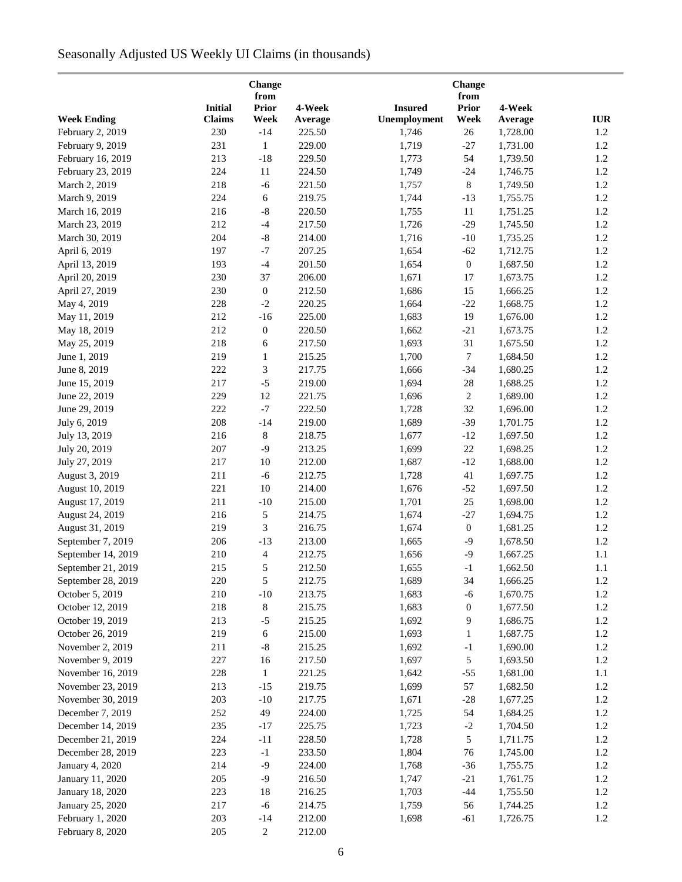# Seasonally Adjusted US Weekly UI Claims (in thousands)

| Change<br>from     |                |                   |                  |                |                      |          |            |
|--------------------|----------------|-------------------|------------------|----------------|----------------------|----------|------------|
|                    | <b>Initial</b> | <b>Prior</b>      | 4-Week           | <b>Insured</b> | from<br><b>Prior</b> | 4-Week   |            |
| <b>Week Ending</b> | <b>Claims</b>  | Week              | Average          | Unemployment   | Week                 | Average  | <b>IUR</b> |
| February 2, 2019   | 230            | $-14$             | 225.50           | 1,746          | 26                   | 1,728.00 | 1.2        |
| February 9, 2019   | 231            | $\mathbf{1}$      | 229.00           | 1,719          | $-27$                | 1,731.00 | 1.2        |
| February 16, 2019  | 213            | $-18$             | 229.50           | 1,773          | 54                   | 1,739.50 | 1.2        |
| February 23, 2019  | 224            | 11                | 224.50           | 1,749          | $-24$                | 1,746.75 | 1.2        |
| March 2, 2019      | 218            | $-6$              | 221.50           | 1,757          | 8                    | 1,749.50 | 1.2        |
| March 9, 2019      | 224            | 6                 | 219.75           | 1,744          | $-13$                | 1,755.75 | 1.2        |
| March 16, 2019     | 216            | $\mbox{-}8$       | 220.50           | 1,755          | 11                   | 1,751.25 | 1.2        |
| March 23, 2019     | 212            | $-4$              | 217.50           | 1,726          | $-29$                | 1,745.50 | 1.2        |
| March 30, 2019     | 204            | $-8$              | 214.00           | 1,716          | $-10$                | 1,735.25 | 1.2        |
| April 6, 2019      | 197            | $-7$              | 207.25           | 1,654          | $-62$                | 1,712.75 | 1.2        |
| April 13, 2019     | 193            | $-4$              | 201.50           | 1,654          | $\boldsymbol{0}$     | 1,687.50 | 1.2        |
| April 20, 2019     | 230            | 37                | 206.00           | 1,671          | 17                   | 1,673.75 | 1.2        |
| April 27, 2019     | 230            | $\boldsymbol{0}$  | 212.50           | 1,686          | 15                   | 1,666.25 | 1.2        |
| May 4, 2019        | 228            | $-2$              | 220.25           | 1,664          | $-22$                | 1,668.75 | 1.2        |
| May 11, 2019       | 212            | $-16$             | 225.00           | 1,683          | 19                   | 1,676.00 | 1.2        |
| May 18, 2019       | 212            | $\boldsymbol{0}$  | 220.50           | 1,662          | $-21$                | 1,673.75 | 1.2        |
|                    | 218            |                   | 217.50           | 1,693          | 31                   | 1,675.50 | 1.2        |
| May 25, 2019       | 219            | 6<br>$\mathbf{1}$ | 215.25           | 1,700          |                      | 1,684.50 | 1.2        |
| June 1, 2019       |                |                   |                  |                | 7                    |          |            |
| June 8, 2019       | 222            | 3<br>$-5$         | 217.75<br>219.00 | 1,666          | $-34$                | 1,680.25 | 1.2<br>1.2 |
| June 15, 2019      | 217            |                   |                  | 1,694          | 28                   | 1,688.25 |            |
| June 22, 2019      | 229            | 12                | 221.75           | 1,696          | $\boldsymbol{2}$     | 1,689.00 | 1.2        |
| June 29, 2019      | 222            | $-7$              | 222.50           | 1,728          | 32                   | 1,696.00 | 1.2        |
| July 6, 2019       | 208            | $-14$             | 219.00           | 1,689          | $-39$                | 1,701.75 | 1.2        |
| July 13, 2019      | 216            | $\,8\,$           | 218.75           | 1,677          | $-12$                | 1,697.50 | 1.2        |
| July 20, 2019      | 207            | $-9$              | 213.25           | 1,699          | 22                   | 1,698.25 | 1.2        |
| July 27, 2019      | 217            | 10                | 212.00           | 1,687          | $-12$                | 1,688.00 | 1.2        |
| August 3, 2019     | 211            | $-6$              | 212.75           | 1,728          | 41                   | 1,697.75 | 1.2        |
| August 10, 2019    | 221            | 10                | 214.00           | 1,676          | $-52$                | 1,697.50 | 1.2        |
| August 17, 2019    | 211            | $-10$             | 215.00           | 1,701          | 25                   | 1,698.00 | 1.2        |
| August 24, 2019    | 216            | $\sqrt{5}$        | 214.75           | 1,674          | $-27$                | 1,694.75 | 1.2        |
| August 31, 2019    | 219            | 3                 | 216.75           | 1,674          | $\boldsymbol{0}$     | 1,681.25 | 1.2        |
| September 7, 2019  | 206            | $-13$             | 213.00           | 1,665          | $-9$                 | 1,678.50 | 1.2        |
| September 14, 2019 | 210            | $\overline{4}$    | 212.75           | 1,656          | $-9$                 | 1,667.25 | $1.1\,$    |
| September 21, 2019 | 215            | 5                 | 212.50           | 1,655          | $-1$                 | 1,662.50 | 1.1        |
| September 28, 2019 | 220            | 5                 | 212.75           | 1,689          | 34                   | 1,666.25 | 1.2        |
| October 5, 2019    | 210            | $-10$             | 213.75           | 1,683          | $-6$                 | 1,670.75 | 1.2        |
| October 12, 2019   | 218            | $\bf 8$           | 215.75           | 1,683          | $\boldsymbol{0}$     | 1,677.50 | 1.2        |
| October 19, 2019   | 213            | $-5$              | 215.25           | 1,692          | 9                    | 1,686.75 | 1.2        |
| October 26, 2019   | 219            | 6                 | 215.00           | 1,693          | 1                    | 1,687.75 | 1.2        |
| November 2, 2019   | 211            | $\text{-}8$       | 215.25           | 1,692          | $-1$                 | 1,690.00 | 1.2        |
| November 9, 2019   | 227            | 16                | 217.50           | 1,697          | 5                    | 1,693.50 | 1.2        |
| November 16, 2019  | 228            | 1                 | 221.25           | 1,642          | $-55$                | 1,681.00 | $1.1\,$    |
| November 23, 2019  | 213            | $-15$             | 219.75           | 1,699          | 57                   | 1,682.50 | 1.2        |
| November 30, 2019  | 203            | $-10$             | 217.75           | 1,671          | $-28$                | 1,677.25 | 1.2        |
| December 7, 2019   | 252            | 49                | 224.00           | 1,725          | 54                   | 1,684.25 | 1.2        |
| December 14, 2019  | 235            | $-17$             | 225.75           | 1,723          | $-2$                 | 1,704.50 | 1.2        |
| December 21, 2019  | 224            | $-11$             | 228.50           | 1,728          | 5                    | 1,711.75 | 1.2        |
| December 28, 2019  | 223            | $-1$              | 233.50           | 1,804          | 76                   | 1,745.00 | 1.2        |
| January 4, 2020    | 214            | $-9$              | 224.00           | 1,768          | $-36$                | 1,755.75 | 1.2        |
| January 11, 2020   | 205            | $-9$              | 216.50           | 1,747          | $-21$                | 1,761.75 | 1.2        |
| January 18, 2020   | 223            | 18                | 216.25           | 1,703          | $-44$                | 1,755.50 | 1.2        |
| January 25, 2020   | 217            | $-6$              | 214.75           | 1,759          | 56                   | 1,744.25 | 1.2        |
| February 1, 2020   | 203            | $-14$             | 212.00           | 1,698          | $-61$                | 1,726.75 | 1.2        |
| February 8, 2020   | 205            | $\overline{2}$    | 212.00           |                |                      |          |            |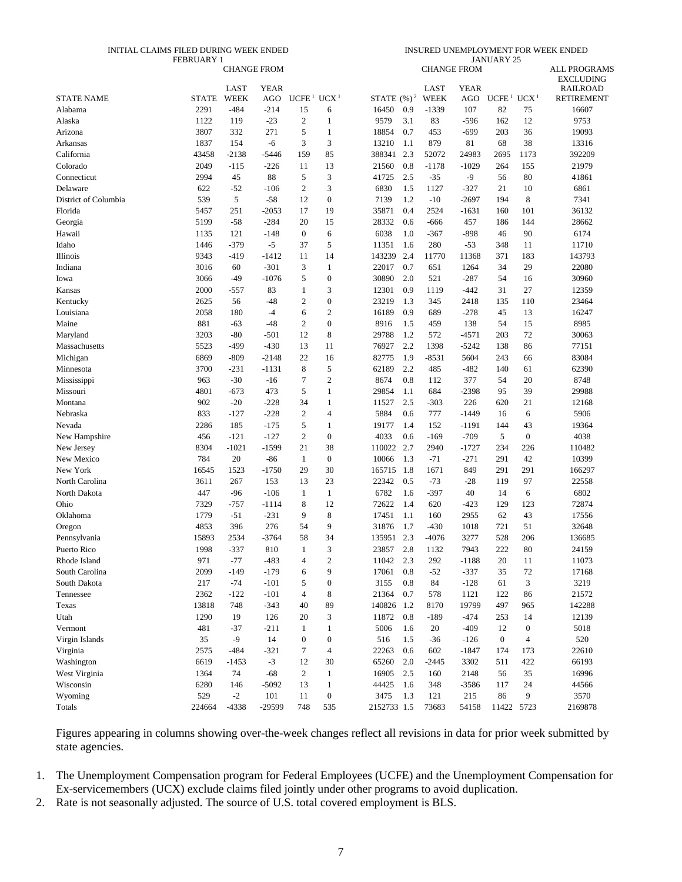#### INITIAL CLAIMS FILED DURING WEEK ENDED FEBRUARY 1

INSURED UNEMPLOYMENT FOR WEEK ENDED JANUARY 25

|                      | <b>DIVOLIVI</b> | <b>CHANGE FROM</b> |                    |                      |                  |             |     |                             | <b>CHANGE FROM</b> | JANUAN I 45                        |                  | <b>ALL PROGRAMS</b><br><b>EXCLUDING</b> |
|----------------------|-----------------|--------------------|--------------------|----------------------|------------------|-------------|-----|-----------------------------|--------------------|------------------------------------|------------------|-----------------------------------------|
| <b>STATE NAME</b>    | <b>STATE</b>    | LAST<br>WEEK       | <b>YEAR</b><br>AGO | UCFE <sup>1</sup>    | UCX <sup>1</sup> |             |     | LAST<br>STATE $(\%)^2$ WEEK | <b>YEAR</b><br>AGO | UCFE <sup>1</sup> UCX <sup>1</sup> |                  | <b>RAILROAD</b><br><b>RETIREMENT</b>    |
|                      | 2291            |                    |                    |                      |                  |             |     |                             |                    |                                    |                  |                                         |
| Alabama              |                 | -484               | $-214$             | 15<br>$\overline{2}$ | 6                | 16450       | 0.9 | $-1339$                     | 107                | 82                                 | 75               | 16607                                   |
| Alaska               | 1122            | 119                | $-23$              | 5                    | $\mathbf{1}$     | 9579        | 3.1 | 83                          | $-596$             | 162                                | 12               | 9753                                    |
| Arizona              | 3807            | 332                | 271                |                      | $\mathbf{1}$     | 18854       | 0.7 | 453                         | $-699$             | 203                                | 36               | 19093                                   |
| Arkansas             | 1837            | 154                | -6                 | 3                    | 3                | 13210       | 1.1 | 879                         | 81                 | 68                                 | 38               | 13316                                   |
| California           | 43458           | $-2138$            | $-5446$            | 159                  | 85               | 388341      | 2.3 | 52072                       | 24983              | 2695                               | 1173             | 392209                                  |
| Colorado             | 2049            | $-115$             | $-226$             | 11                   | 13               | 21560       | 0.8 | $-1178$                     | $-1029$            | 264                                | 155              | 21979                                   |
| Connecticut          | 2994            | 45                 | 88                 | 5                    | 3                | 41725       | 2.5 | $-35$                       | $-9$               | 56                                 | 80               | 41861                                   |
| Delaware             | 622             | $-52$              | $-106$             | $\overline{c}$       | 3                | 6830        | 1.5 | 1127                        | $-327$             | 21                                 | 10               | 6861                                    |
| District of Columbia | 539             | 5                  | $-58$              | 12                   | $\boldsymbol{0}$ | 7139        | 1.2 | $-10$                       | $-2697$            | 194                                | 8                | 7341                                    |
| Florida              | 5457            | 251                | $-2053$            | 17                   | 19               | 35871       | 0.4 | 2524                        | $-1631$            | 160                                | 101              | 36132                                   |
| Georgia              | 5199            | $-58$              | $-284$             | 20                   | 15               | 28332       | 0.6 | -666                        | 457                | 186                                | 144              | 28662                                   |
| Hawaii               | 1135            | 121                | $-148$             | $\boldsymbol{0}$     | 6                | 6038        | 1.0 | $-367$                      | $-898$             | 46                                 | 90               | 6174                                    |
| Idaho                | 1446            | $-379$             | $-5$               | 37                   | 5                | 11351       | 1.6 | 280                         | $-53$              | 348                                | 11               | 11710                                   |
| Illinois             | 9343            | $-419$             | $-1412$            | 11                   | 14               | 143239      | 2.4 | 11770                       | 11368              | 371                                | 183              | 143793                                  |
| Indiana              | 3016            | 60                 | $-301$             | 3                    | $\mathbf{1}$     | 22017       | 0.7 | 651                         | 1264               | 34                                 | 29               | 22080                                   |
| Iowa                 | 3066            | $-49$              | $-1076$            | 5                    | $\boldsymbol{0}$ | 30890       | 2.0 | 521                         | $-287$             | 54                                 | 16               | 30960                                   |
| Kansas               | 2000            | $-557$             | 83                 | 1                    | 3                | 12301       | 0.9 | 1119                        | $-442$             | 31                                 | 27               | 12359                                   |
| Kentucky             | 2625            | 56                 | $-48$              | $\overline{c}$       | $\boldsymbol{0}$ | 23219       | 1.3 | 345                         | 2418               | 135                                | 110              | 23464                                   |
| Louisiana            | 2058            | 180                | $-4$               | 6                    | $\overline{2}$   | 16189       | 0.9 | 689                         | $-278$             | 45                                 | 13               | 16247                                   |
| Maine                | 881             | $-63$              | $-48$              | $\overline{2}$       | $\boldsymbol{0}$ | 8916        | 1.5 | 459                         | 138                | 54                                 | 15               | 8985                                    |
| Maryland             | 3203            | $-80$              | $-501$             | 12                   | $\,$ 8 $\,$      | 29788       | 1.2 | 572                         | $-4571$            | 203                                | 72               | 30063                                   |
| Massachusetts        | 5523            | $-499$             | $-430$             | 13                   | 11               | 76927       | 2.2 | 1398                        | $-5242$            | 138                                | 86               | 77151                                   |
| Michigan             | 6869            | $-809$             | $-2148$            | 22                   | 16               | 82775       | 1.9 | -8531                       | 5604               | 243                                | 66               | 83084                                   |
| Minnesota            | 3700            | $-231$             | $-1131$            | 8                    | 5                | 62189       | 2.2 | 485                         | $-482$             | 140                                | 61               | 62390                                   |
| Mississippi          | 963             | $-30$              | $-16$              | $\tau$               | $\mathfrak{2}$   | 8674        | 0.8 | 112                         | 377                | 54                                 | 20               | 8748                                    |
| Missouri             | 4801            | $-673$             | 473                | 5                    | $\mathbf{1}$     | 29854       | 1.1 | 684                         | $-2398$            | 95                                 | 39               | 29988                                   |
| Montana              | 902             | $-20$              | $-228$             | 34                   | $\mathbf{1}$     | 11527       | 2.5 | $-303$                      | 226                | 620                                | 21               | 12168                                   |
| Nebraska             | 833             | $-127$             | $-228$             | $\overline{2}$       | $\overline{4}$   | 5884        | 0.6 | 777                         | $-1449$            | 16                                 | 6                | 5906                                    |
| Nevada               | 2286            | 185                | $-175$             | 5                    | 1                | 19177       | 1.4 | 152                         | -1191              | 144                                | 43               | 19364                                   |
| New Hampshire        | 456             | $-121$             | $-127$             | $\overline{2}$       | $\boldsymbol{0}$ | 4033        | 0.6 | $-169$                      | $-709$             | 5                                  | $\boldsymbol{0}$ | 4038                                    |
| New Jersey           | 8304            | $-1021$            | $-1599$            | 21                   | 38               | 110022      | 2.7 | 2940                        | $-1727$            | 234                                | 226              | 110482                                  |
| New Mexico           | 784             | 20                 | $-86$              | $\mathbf{1}$         | $\boldsymbol{0}$ | 10066       | 1.3 | $-71$                       | $-271$             | 291                                | 42               | 10399                                   |
| New York             | 16545           | 1523               | $-1750$            | 29                   | 30               | 165715      | 1.8 | 1671                        | 849                | 291                                | 291              | 166297                                  |
| North Carolina       | 3611            | 267                | 153                | 13                   | 23               | 22342       | 0.5 | $-73$                       | $-28$              | 119                                | 97               | 22558                                   |
| North Dakota         | 447             | $-96$              | $-106$             | $\mathbf{1}$         | $\mathbf{1}$     | 6782        | 1.6 | $-397$                      | 40                 | 14                                 | 6                | 6802                                    |
| Ohio                 | 7329            | $-757$             | $-1114$            | 8                    | 12               | 72622       | 1.4 | 620                         | $-423$             | 129                                | 123              | 72874                                   |
| Oklahoma             | 1779            | $-51$              | $-231$             | 9                    | $\,$ 8 $\,$      | 17451       | 1.1 | 160                         | 2955               | 62                                 | 43               | 17556                                   |
| Oregon               | 4853            | 396                | 276                | 54                   | 9                | 31876       | 1.7 | $-430$                      | 1018               | 721                                | 51               | 32648                                   |
| Pennsylvania         | 15893           | 2534               | $-3764$            | 58                   | 34               | 135951      | 2.3 | $-4076$                     | 3277               | 528                                | 206              | 136685                                  |
| Puerto Rico          | 1998            | $-337$             | 810                | 1                    | 3                | 23857       | 2.8 | 1132                        | 7943               | 222                                | 80               | 24159                                   |
| Rhode Island         | 971             | $-77$              | $-483$             | $\overline{4}$       | $\mathbf{2}$     | 11042       | 2.3 | 292                         | $-1188$            | 20                                 | 11               | 11073                                   |
| South Carolina       | 2099            | $-149$             | $-179$             | 6                    | 9                | 17061       | 0.8 | $-52$                       | $-337$             | 35                                 | 72               | 17168                                   |
| South Dakota         | 217             | $-74$              | $-101$             | 5                    | $\boldsymbol{0}$ | 3155        | 0.8 | 84                          | $-128$             | 61                                 | 3                | 3219                                    |
| Tennessee            | 2362            | $-122$             | $-101$             | 4                    | 8                | 21364       | 0.7 | 578                         | 1121               | 122                                | 86               | 21572                                   |
| Texas                | 13818           | 748                | $-343$             | 40                   | 89               | 140826 1.2  |     | 8170                        | 19799              | 497                                | 965              | 142288                                  |
| Utah                 | 1290            | 19                 | 126                | 20                   | 3                | 11872       | 0.8 | $-189$                      | $-474$             | 253                                | 14               | 12139                                   |
| Vermont              | 481             | $-37$              | $-211$             | $\mathbf{1}$         | $\mathbf{1}$     | 5006        | 1.6 | 20                          | $-409$             | 12                                 | $\boldsymbol{0}$ | 5018                                    |
| Virgin Islands       | 35              | -9                 | 14                 | $\boldsymbol{0}$     | $\boldsymbol{0}$ | 516         | 1.5 | $-36$                       | $-126$             | $\boldsymbol{0}$                   | 4                | 520                                     |
| Virginia             | 2575            | $-484$             | $-321$             | 7                    | $\overline{4}$   | 22263       | 0.6 | 602                         | -1847              | 174                                | 173              | 22610                                   |
| Washington           | 6619            | $-1453$            | $-3$               | 12                   | 30               | 65260       | 2.0 | $-2445$                     | 3302               | 511                                | 422              | 66193                                   |
| West Virginia        | 1364            | 74                 | $-68$              | $\overline{c}$       | $\mathbf{1}$     | 16905       | 2.5 | 160                         | 2148               | 56                                 | 35               | 16996                                   |
| Wisconsin            | 6280            | 146                | $-5092$            | 13                   | $\mathbf{1}$     | 44425       | 1.6 | 348                         | $-3586$            | 117                                | 24               | 44566                                   |
| Wyoming              | 529             | $-2$               | 101                | 11                   | $\boldsymbol{0}$ | 3475        | 1.3 | 121                         | 215                | 86                                 | 9                | 3570                                    |
| Totals               | 224664          | -4338              | $-29599$           | 748                  | 535              | 2152733 1.5 |     | 73683                       | 54158              | 11422                              | 5723             | 2169878                                 |

Figures appearing in columns showing over-the-week changes reflect all revisions in data for prior week submitted by state agencies.

1. The Unemployment Compensation program for Federal Employees (UCFE) and the Unemployment Compensation for Ex-servicemembers (UCX) exclude claims filed jointly under other programs to avoid duplication.

2. Rate is not seasonally adjusted. The source of U.S. total covered employment is BLS.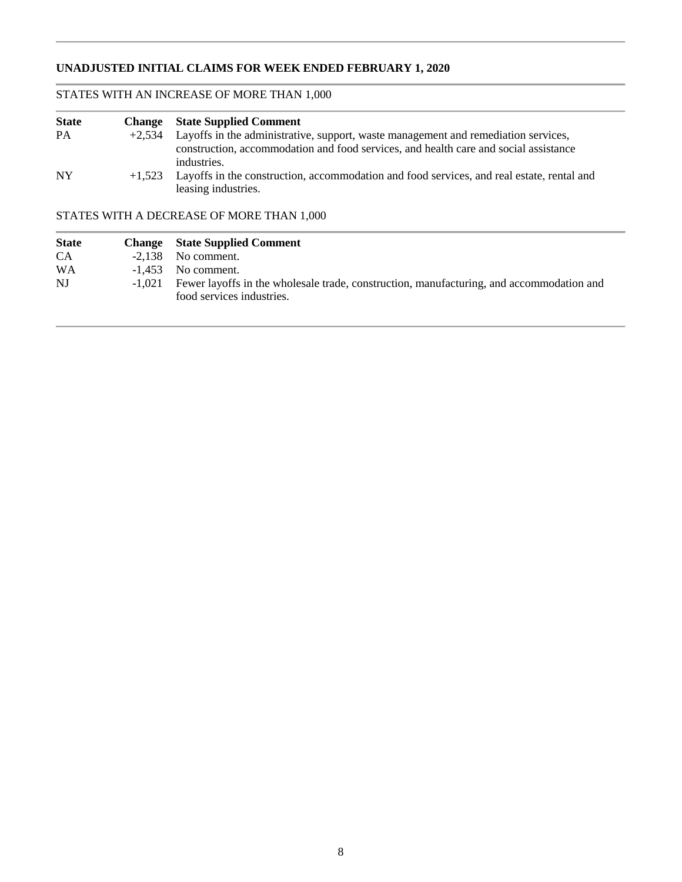# **UNADJUSTED INITIAL CLAIMS FOR WEEK ENDED FEBRUARY 1, 2020**

# STATES WITH AN INCREASE OF MORE THAN 1,000

| <b>State</b> | Change   | <b>State Supplied Comment</b>                                                             |
|--------------|----------|-------------------------------------------------------------------------------------------|
| PA           | $+2.534$ | Layoffs in the administrative, support, waste management and remediation services,        |
|              |          | construction, accommodation and food services, and health care and social assistance      |
|              |          | industries.                                                                               |
| <b>NY</b>    | $+1.523$ | Layoffs in the construction, accommodation and food services, and real estate, rental and |
|              |          | leasing industries.                                                                       |

# STATES WITH A DECREASE OF MORE THAN 1,000

| <b>State</b> | <b>Change</b> State Supplied Comment                                                                                         |
|--------------|------------------------------------------------------------------------------------------------------------------------------|
| <b>CA</b>    | $-2.138$ No comment.                                                                                                         |
| <b>WA</b>    | $-1.453$ No comment.                                                                                                         |
| NJ           | -1,021 Fewer layoffs in the wholesale trade, construction, manufacturing, and accommodation and<br>food services industries. |